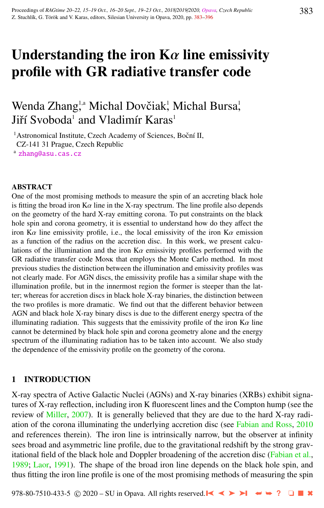# Understanding the iron  $K\alpha$  line emissivity profile with GR radiative transfer code

# Wenda Zhang,<sup>1,a</sup> Michal Dovčiak<sup>1</sup>, Michal Bursa<sup>1</sup>, Jiří Svoboda<sup>1</sup> and Vladimír Karas<sup>1</sup>

<sup>1</sup> Astronomical Institute, Czech Academy of Sciences, Boční II, CZ-141 31 Prague, Czech Republic

<sup>a</sup> [zhang@asu.cas.cz](http://www.physics.cz/ zhang@asu.cas.cz)

#### ABSTRACT

One of the most promising methods to measure the spin of an accreting black hole is fitting the broad iron  $K\alpha$  line in the X-ray spectrum. The line profile also depends on the geometry of the hard X-ray emitting corona. To put constraints on the black hole spin and corona geometry, it is essential to understand how do they affect the iron K $\alpha$  line emissivity profile, i.e., the local emissivity of the iron K $\alpha$  emission as a function of the radius on the accretion disc. In this work, we present calculations of the illumination and the iron  $K\alpha$  emissivity profiles performed with the GR radiative transfer code Monk that employs the Monte Carlo method. In most previous studies the distinction between the illumination and emissivity profiles was not clearly made. For AGN discs, the emissivity profile has a similar shape with the illumination profile, but in the innermost region the former is steeper than the latter; whereas for accretion discs in black hole X-ray binaries, the distinction between the two profiles is more dramatic. We find out that the different behavior between AGN and black hole X-ray binary discs is due to the different energy spectra of the illuminating radiation. This suggests that the emissivity profile of the iron  $K\alpha$  line cannot be determined by black hole spin and corona geometry alone and the energy spectrum of the illuminating radiation has to be taken into account. We also study the dependence of the emissivity profile on the geometry of the corona.

#### 1 INTRODUCTION

X-ray spectra of Active Galactic Nuclei (AGNs) and X-ray binaries (XRBs) exhibit signatures of X-ray reflection, including iron K fluorescent lines and the Compton hump (see the review of [Miller,](#page-13-0) [2007\)](#page-13-0). It is generally believed that they are due to the hard X-ray radiation of the corona illuminating the underlying accretion disc (see [Fabian and Ross,](#page-12-0) [2010](#page-12-0) and references therein). The iron line is intrinsically narrow, but the observer at infinity sees broad and asymmetric line profile, due to the gravitational redshift by the strong gravitational field of the black hole and Doppler broadening of the accretion disc [\(Fabian et al.,](#page-12-0) [1989;](#page-12-0) [Laor,](#page-13-0) [1991\)](#page-13-0). The shape of the broad iron line depends on the black hole spin, and thus fitting the iron line profile is one of the most promising methods of measuring the spin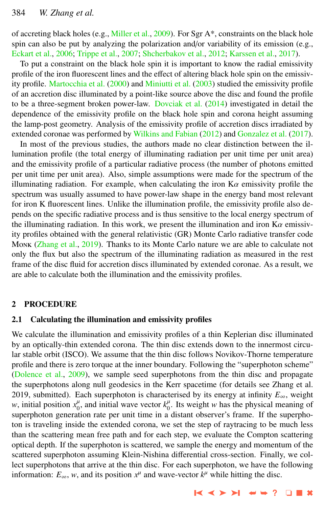of accreting black holes (e.g., [Miller et al.,](#page-13-0) [2009\)](#page-13-0). For Sgr  $A^*$ , constraints on the black hole spin can also be put by analyzing the polarization and/or variability of its emission (e.g., [Eckart et al.,](#page-12-0) [2006;](#page-12-0) [Trippe et al.,](#page-13-0) [2007;](#page-13-0) [Shcherbakov et al.,](#page-13-0) [2012;](#page-13-0) [Karssen et al.,](#page-13-0) [2017\)](#page-13-0).

To put a constraint on the black hole spin it is important to know the radial emissivity profile of the iron fluorescent lines and the effect of altering black hole spin on the emissivity profile. [Martocchia et al.](#page-13-0) [\(2000\)](#page-13-0) and [Miniutti et al.](#page-13-0) [\(2003\)](#page-13-0) studied the emissivity profile of an accretion disc illuminated by a point-like source above the disc and found the profile to be a three-segment broken power-law. [Dovciak et al.](#page-12-0) [\(2014\)](#page-12-0) investigated in detail the dependence of the emissivity profile on the black hole spin and corona height assuming the lamp-post geometry. Analysis of the emissivity profile of accretion discs irradiated by extended coronae was performed by [Wilkins and Fabian](#page-13-0) [\(2012\)](#page-13-0) and [Gonzalez et al.](#page-12-0) [\(2017\)](#page-12-0).

In most of the previous studies, the authors made no clear distinction between the illumination profile (the total energy of illuminating radiation per unit time per unit area) and the emissivity profile of a particular radiative process (the number of photons emitted per unit time per unit area). Also, simple assumptions were made for the spectrum of the illuminating radiation. For example, when calculating the iron  $K\alpha$  emissivity profile the spectrum was usually assumed to have power-law shape in the energy band most relevant for iron K fluorescent lines. Unlike the illumination profile, the emissivity profile also depends on the specific radiative process and is thus sensitive to the local energy spectrum of the illuminating radiation. In this work, we present the illumination and iron  $K\alpha$  emissivity profiles obtained with the general relativistic (GR) Monte Carlo radiative transfer code Monk [\(Zhang et al.,](#page-13-0) [2019\)](#page-13-0). Thanks to its Monte Carlo nature we are able to calculate not only the flux but also the spectrum of the illuminating radiation as measured in the rest frame of the disc fluid for accretion discs illuminated by extended coronae. As a result, we are able to calculate both the illumination and the emissivity profiles.

#### 2 PROCEDURE

#### 2.1 Calculating the illumination and emissivity profiles

We calculate the illumination and emissivity profiles of a thin Keplerian disc illuminated by an optically-thin extended corona. The thin disc extends down to the innermost circular stable orbit (ISCO). We assume that the thin disc follows Novikov-Thorne temperature profile and there is zero torque at the inner boundary. Following the "superphoton scheme" [\(Dolence et al.,](#page-12-0) [2009\)](#page-12-0), we sample seed superphotons from the thin disc and propagate the superphotons along null geodesics in the Kerr spacetime (for details see Zhang et al. 2019, submitted). Each superphoton is characterised by its energy at infinity  $E_{\infty}$ , weight *w*, initial position  $x_0^{\mu}$ , and initial wave vector  $k_0^{\mu}$ . Its weight *w* has the physical meaning of superphoton generation rate per unit time in a distant observer's frame. If the superphoton is traveling inside the extended corona, we set the step of raytracing to be much less than the scattering mean free path and for each step, we evaluate the Compton scattering optical depth. If the superphoton is scattered, we sample the energy and momentum of the scattered superphoton assuming Klein-Nishina differential cross-section. Finally, we collect superphotons that arrive at the thin disc. For each superphoton, we have the following information:  $E_{\infty}$ , *w*, and its position  $x^{\mu}$  and wave-vector  $k^{\mu}$  while hitting the disc.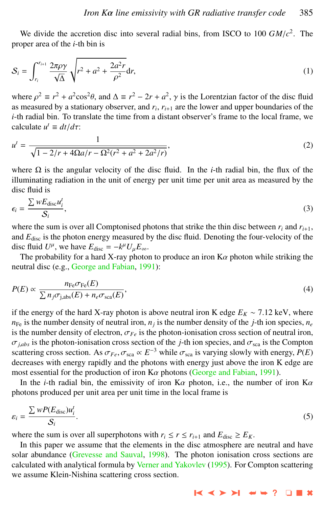We divide the accretion disc into several radial bins, from ISCO to 100  $GM/c^2$ . The proper area of the *i*-th bin is

$$
S_i = \int_{r_i}^{r_{i+1}} \frac{2\pi \rho \gamma}{\sqrt{\Delta}} \sqrt{r^2 + a^2 + \frac{2a^2 r}{\rho^2}} dr,
$$
 (1)

where  $\rho^2 \equiv r^2 + a^2 \cos^2 \theta$ , and  $\Delta \equiv r^2 - 2r + a^2$ ,  $\gamma$  is the Lorentzian factor of the disc fluid as measured by a stationary observer, and *r<sup>i</sup>* , *r<sup>i</sup>*+<sup>1</sup> are the lower and upper boundaries of the *i*-th radial bin. To translate the time from a distant observer's frame to the local frame, we calculate  $u^t \equiv dt/d\tau$ :

$$
u^{t} = \frac{1}{\sqrt{1 - 2/r + 4\Omega a/r - \Omega^{2}(r^{2} + a^{2} + 2a^{2}/r)}},
$$
\n(2)

where  $\Omega$  is the angular velocity of the disc fluid. In the *i*-th radial bin, the flux of the illuminating radiation in the unit of energy per unit time per unit area as measured by the disc fluid is

$$
\epsilon_i = \frac{\sum w E_{\text{disc}} u_i^t}{\mathcal{S}_i},\tag{3}
$$

where the sum is over all Comptonised photons that strike the thin disc between  $r_i$  and  $r_{i+1}$ , and *E*disc is the photon energy measured by the disc fluid. Denoting the four-velocity of the disc fluid  $U^{\mu}$ , we have  $E_{\text{disc}} = -k^{\mu} U_{\mu} E_{\infty}$ .<br>The probability for a hard Y novembotes

The probability for a hard X-ray photon to produce an iron  $K\alpha$  photon while striking the neutral disc (e.g., [George and Fabian,](#page-12-0) [1991\)](#page-12-0):

$$
P(E) \propto \frac{n_{\rm Fe}\sigma_{\rm Fe}(E)}{\sum n_j \sigma_{\rm j,abs}(E) + n_e \sigma_{\rm sca}(E)},\tag{4}
$$

if the energy of the hard X-ray photon is above neutral iron K edge  $E_K \sim 7.12$  keV, where  $n_{\text{Fe}}$  is the number density of neutral iron,  $n_j$  is the number density of the *j*-th ion species,  $n_e$ is the number density of electron,  $\sigma_{Fe}$  is the photon-ionisation cross section of neutral iron,  $\sigma_{i,abs}$  is the photon-ionisation cross section of the *j*-th ion species, and  $\sigma_{sea}$  is the Compton scattering cross section. As  $\sigma_{Fe}$ ,  $\sigma_{\text{sca}} \propto E^{-3}$  while  $\sigma_{\text{sca}}$  is varying slowly with energy,  $P(E)$ <br>decreases with energy rapidly and the photons with energy just above the iron K edge are decreases with energy rapidly and the photons with energy just above the iron K edge are most essential for the production of iron  $K\alpha$  photons [\(George and Fabian,](#page-12-0) [1991\)](#page-12-0).

In the *<sup>i</sup>*-th radial bin, the emissivity of iron Kα photon, i.e., the number of iron Kα photons produced per unit area per unit time in the local frame is

$$
\varepsilon_i = \frac{\sum wP(E_{\text{disc}})u_i^t}{\mathcal{S}_i}.\tag{5}
$$

where the sum is over all superphotons with  $r_i \le r \le r_{i+1}$  and  $E_{disc} \ge E_K$ .

In this paper we assume that the elements in the disc atmosphere are neutral and have solar abundance [\(Grevesse and Sauval,](#page-12-0) [1998\)](#page-12-0). The photon ionisation cross sections are calculated with analytical formula by [Verner and Yakovlev](#page-13-0) [\(1995\)](#page-13-0). For Compton scattering we assume Klein-Nishina scattering cross section.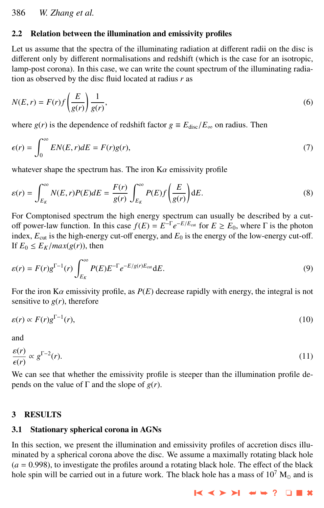# <span id="page-3-0"></span>2.2 Relation between the illumination and emissivity profiles

Let us assume that the spectra of the illuminating radiation at different radii on the disc is different only by different normalisations and redshift (which is the case for an isotropic, lamp-post corona). In this case, we can write the count spectrum of the illuminating radiation as observed by the disc fluid located at radius *r* as

$$
N(E,r) = F(r)f\left(\frac{E}{g(r)}\right)\frac{1}{g(r)},\tag{6}
$$

where  $g(r)$  is the dependence of redshift factor  $g \equiv E_{\text{disc}}/E_{\infty}$  on radius. Then

$$
\epsilon(r) = \int_0^\infty EN(E, r) dE = F(r)g(r),\tag{7}
$$

whatever shape the spectrum has. The iron  $K\alpha$  emissivity profile

$$
\varepsilon(r) = \int_{E_K}^{\infty} N(E, r) P(E) dE = \frac{F(r)}{g(r)} \int_{E_K}^{\infty} P(E) f\left(\frac{E}{g(r)}\right) dE.
$$
 (8)

For Comptonised spectrum the high energy spectrum can usually be described by a cutoff power-law function. In this case  $f(E) = E^{-\Gamma} e^{-E/E_{\text{cut}}}$  for  $E \ge E_0$ , where Γ is the photon index,  $E_{\text{cut}}$  is the high-energy cut-off energy, and  $E_0$  is the energy of the low-energy cut-off. If  $E_0 \leq E_K / max(g(r))$ , then

$$
\varepsilon(r) = F(r)g^{\Gamma-1}(r)\int_{E_K}^{\infty} P(E)E^{-\Gamma}e^{-E/g(r)E_{\text{cut}}}dE.
$$
\n(9)

For the iron  $K\alpha$  emissivity profile, as  $P(E)$  decrease rapidly with energy, the integral is not sensitive to  $g(r)$ , therefore

$$
\varepsilon(r) \propto F(r) g^{\Gamma - 1}(r),\tag{10}
$$

and

$$
\frac{\varepsilon(r)}{\varepsilon(r)} \propto g^{\Gamma - 2}(r).
$$
\nWe can see that whether the emissivity profile is steeper than the illumination profile de-

pends on the value of  $\Gamma$  and the slope of  $g(r)$ .

## 3 RESULTS

#### 3.1 Stationary spherical corona in AGNs

In this section, we present the illumination and emissivity profiles of accretion discs illuminated by a spherical corona above the disc. We assume a maximally rotating black hole  $(a = 0.998)$ , to investigate the profiles around a rotating black hole. The effect of the black hole spin will be carried out in a future work. The black hole has a mass of  $10^7$  M<sub>o</sub> and is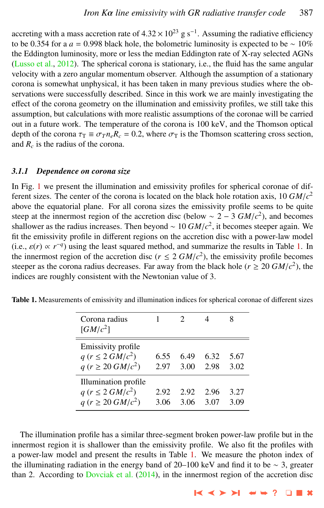accreting with a mass accretion rate of  $4.32 \times 10^{23}$  g s<sup>-1</sup>. Assuming the radiative efficiency<br>to be 0.354 for a  $a = 0.998$  black hole, the bolometric luminosity is expected to be  $\approx 10\%$ to be 0.354 for a  $a = 0.998$  black hole, the bolometric luminosity is expected to be  $\sim 10\%$ the Eddington luminosity, more or less the median Eddington rate of X-ray selected AGNs [\(Lusso et al.,](#page-13-0) [2012\)](#page-13-0). The spherical corona is stationary, i.e., the fluid has the same angular velocity with a zero angular momentum observer. Although the assumption of a stationary corona is somewhat unphysical, it has been taken in many previous studies where the observations were successfully described. Since in this work we are mainly investigating the effect of the corona geometry on the illumination and emissivity profiles, we still take this assumption, but calculations with more realistic assumptions of the coronae will be carried out in a future work. The temperature of the corona is 100 keV, and the Thomson optical depth of the corona  $\tau_{\rm T} \equiv \sigma_{T} n_e R_c = 0.2$ , where  $\sigma_{\rm T}$  is the Thomson scattering cross section, and *R<sup>c</sup>* is the radius of the corona.

#### *3.1.1 Dependence on corona size*

In Fig. [1](#page-5-0) we present the illumination and emissivity profiles for spherical coronae of different sizes. The center of the corona is located on the black hole rotation axis,  $10 \frac{GM}{c^2}$ <br>above the equatorial plane. For all corona sizes the emissivity profile seems to be quite above the equatorial plane. For all corona sizes the emissivity profile seems to be quite steep at the innermost region of the accretion disc (below ~ 2 – 3  $GM/c^2$ ), and becomes steeper again We shallower as the radius increases. Then beyond ∼  $10 \, GM/c^2$ , it becomes steeper again. We fit the emissivity profile in different regions on the accretion disc with a power-law model fit the emissivity profile in different regions on the accretion disc with a power-law model (i.e.,  $\varepsilon(r) \propto r^{-q}$ ) using the least squared method, and summarize the results in Table 1. In the innermost region of the accretion disc  $(r \le 2GM/c^2)$ , the emissivity profile becomes the innermost region of the accretion disc  $(r \le 2 \frac{GM}{c^2})$ , the emissivity profile becomes steeper as the corona radius decreases. For away from the black hole  $(r > 20 \frac{GM}{c^2})$ , the steeper as the corona radius decreases. Far away from the black hole ( $r \ge 20$  *GM*/*c*<sup>2</sup>), the indices are roughly consistent with the Newtonian value of 3 indices are roughly consistent with the Newtonian value of 3.

| Corona radius<br>$\left[ GM/c^2 \right]$                                          |              |              |              |              |
|-----------------------------------------------------------------------------------|--------------|--------------|--------------|--------------|
| Emissivity profile<br>$q (r \leq 2 \frac{GM}{c^2})$<br>$q (r \ge 20 \, GM/c^2)$   | 6.55<br>2.97 | 6.49<br>3.00 | 6.32<br>2.98 | 5.67<br>3.02 |
| Illumination profile<br>$q (r \leq 2 \frac{GM}{c^2})$<br>$q (r \ge 20 \, GM/c^2)$ | 2.92<br>3.06 | 2.92<br>3.06 | 2.96<br>3.07 | 3.27<br>3.09 |

Table 1. Measurements of emissivity and illumination indices for spherical coronae of different sizes

The illumination profile has a similar three-segment broken power-law profile but in the innermost region it is shallower than the emissivity profile. We also fit the profiles with a power-law model and present the results in Table 1. We measure the photon index of the illuminating radiation in the energy band of 20–100 keV and find it to be ∼ 3, greater than 2. According to [Dovciak et al.](#page-12-0)  $(2014)$ , in the innermost region of the accretion disc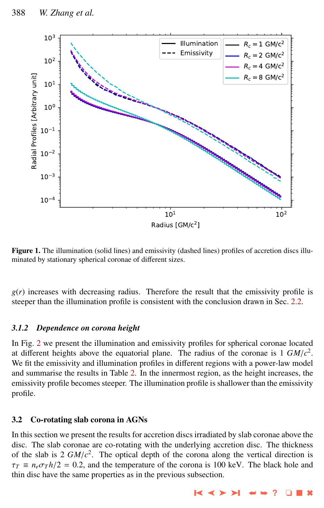<span id="page-5-0"></span>

Figure 1. The illumination (solid lines) and emissivity (dashed lines) profiles of accretion discs illuminated by stationary spherical coronae of different sizes.

 $g(r)$  increases with decreasing radius. Therefore the result that the emissivity profile is steeper than the illumination profile is consistent with the conclusion drawn in Sec. [2.2.](#page-3-0)

## *3.1.2 Dependence on corona height*

In Fig. [2](#page-6-0) we present the illumination and emissivity profiles for spherical coronae located at different heights above the equatorial plane. The radius of the coronae is  $1 \frac{GM}{c^2}$ . We fit the emissivity and illumination profiles in different regions with a power-law model and summarise the results in Table [2.](#page-6-0) In the innermost region, as the height increases, the emissivity profile becomes steeper. The illumination profile is shallower than the emissivity profile.

# 3.2 Co-rotating slab corona in AGNs

In this section we present the results for accretion discs irradiated by slab coronae above the disc. The slab coronae are co-rotating with the underlying accretion disc. The thickness of the slab is 2  $GM/c^2$ . The optical depth of the corona along the vertical direction is  $\tau_{\pi} = n \pi r h/2 = 0.2$  and the temperature of the corona is 100 keV. The black hole and  $\tau_T \equiv n_e \sigma_T h/2 = 0.2$ , and the temperature of the corona is 100 keV. The black hole and thin disc have the same properties as in the previous subsection.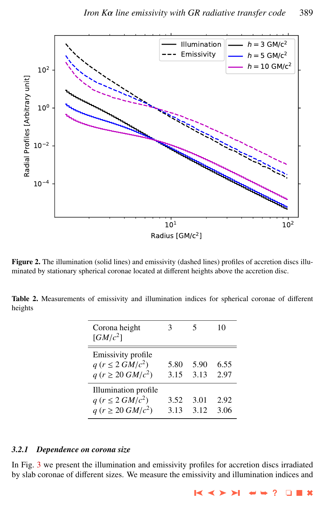<span id="page-6-0"></span>

Figure 2. The illumination (solid lines) and emissivity (dashed lines) profiles of accretion discs illuminated by stationary spherical coronae located at different heights above the accretion disc.

Table 2. Measurements of emissivity and illumination indices for spherical coronae of different heights

| Corona height<br>$\left[ GM/c^2 \right]$                                          | 3            |              | 10           |
|-----------------------------------------------------------------------------------|--------------|--------------|--------------|
| Emissivity profile<br>$q (r \leq 2 \frac{GM}{c^2})$<br>$q (r \ge 20 \, GM/c^2)$   | 5.80<br>3.15 | 5.90<br>3.13 | 6.55<br>2.97 |
| Illumination profile<br>$q (r \leq 2 \frac{GM}{c^2})$<br>$q (r \ge 20 \, GM/c^2)$ | 3.52<br>3.13 | 3.01<br>3.12 | 2.92<br>3.06 |

#### *3.2.1 Dependence on corona size*

In Fig. [3](#page-7-0) we present the illumination and emissivity profiles for accretion discs irradiated by slab coronae of different sizes. We measure the emissivity and illumination indices and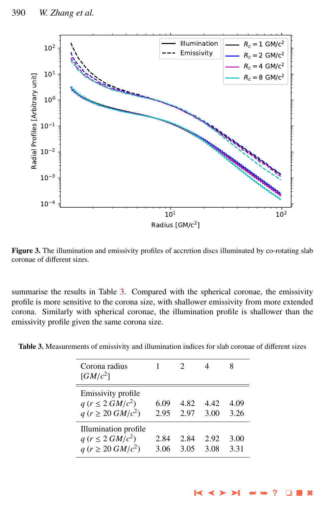<span id="page-7-0"></span>

Figure 3. The illumination and emissivity profiles of accretion discs illuminated by co-rotating slab coronae of different sizes.

summarise the results in Table 3. Compared with the spherical coronae, the emissivity profile is more sensitive to the corona size, with shallower emissivity from more extended corona. Similarly with spherical coronae, the illumination profile is shallower than the emissivity profile given the same corona size.

| Table 3. Measurements of emissivity and illumination indices for slab coronae of different sizes |  |  |  |
|--------------------------------------------------------------------------------------------------|--|--|--|
|                                                                                                  |  |  |  |

| Corona radius<br>$\left[ GM/c^2 \right]$                                          |              |              |              |              |
|-----------------------------------------------------------------------------------|--------------|--------------|--------------|--------------|
| Emissivity profile<br>$q (r \leq 2 \frac{GM}{c^2})$<br>$q (r \ge 20 \, GM/c^2)$   | 6.09<br>2.95 | 4.82<br>2.97 | 442<br>3.00  | 4.09<br>3.26 |
| Illumination profile<br>$q (r \leq 2 \frac{GM}{c^2})$<br>$q (r \ge 20 \, GM/c^2)$ | 2.84<br>3.06 | 2.84<br>3.05 | 2.92<br>3.08 | 3.00<br>331  |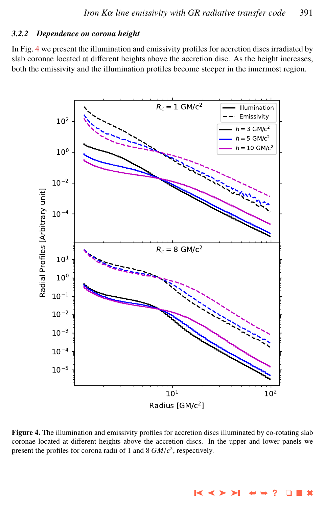#### *3.2.2 Dependence on corona height*

In Fig. 4 we present the illumination and emissivity profiles for accretion discs irradiated by slab coronae located at different heights above the accretion disc. As the height increases, both the emissivity and the illumination profiles become steeper in the innermost region.



Figure 4. The illumination and emissivity profiles for accretion discs illuminated by co-rotating slab coronae located at different heights above the accretion discs. In the upper and lower panels we present the profiles for corona radii of 1 and 8 *GM*/*<sup>c</sup>* 2 , respectively.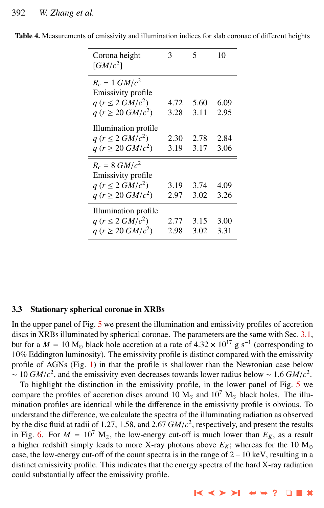| Corona height<br>$\left[ GM/c^2 \right]$                                                               | 3            | 5            | 10           |
|--------------------------------------------------------------------------------------------------------|--------------|--------------|--------------|
| $R_c = 1 \ G M/c^2$<br>Emissivity profile<br>$q (r \leq 2 \frac{GM}{c^2})$<br>$q (r \ge 20 \, GM/c^2)$ | 4.72<br>3.28 | 5.60<br>3.11 | 6.09<br>2.95 |
| Illumination profile<br>$q (r \leq 2 \frac{GM}{c^2})$<br>$q (r \ge 20 \, GM/c^2)$                      | 2.30<br>3.19 | 2.78<br>3.17 | 2.84<br>3.06 |
| $R_c = 8 \, GM/c^2$<br>Emissivity profile<br>$q (r \leq 2 \frac{GM}{c^2})$<br>$q (r \ge 20 \, GM/c^2)$ | 3.19<br>2.97 | 3.74<br>3.02 | 4.09<br>3.26 |
| Illumination profile<br>$q (r \leq 2 \frac{GM}{c^2})$<br>$q (r \ge 20 \, GM/c^2)$                      | 2.77<br>2.98 | 3.15<br>3.02 | 3.00<br>3.31 |

Table 4. Measurements of emissivity and illumination indices for slab coronae of different heights

#### 3.3 Stationary spherical coronae in XRBs

In the upper panel of Fig. [5](#page-10-0) we present the illumination and emissivity profiles of accretion discs in XRBs illuminated by spherical coronae. The parameters are the same with Sec. [3.1,](#page-3-0) but for a  $M = 10 \text{ M}_\odot$  black hole accretion at a rate of  $4.32 \times 10^{17} \text{ g s}^{-1}$  (corresponding to  $10\%$  Eddington luminosity). The emissivity profile is distinct compared with the emissivity 10% Eddington luminosity). The emissivity profile is distinct compared with the emissivity profile of AGNs (Fig. [1\)](#page-5-0) in that the profile is shallower than the Newtonian case below ~ 10 *GM*/*c*<sup>2</sup>, and the emissivity even decreases towards lower radius below ~ 1.6 *GM*/*c*<sup>2</sup>.<br>To bighlight the distinction in the emissivity profile in the lower panel of Fig. 5 we

To highlight the distinction in the emissivity profile, in the lower panel of Fig. [5](#page-10-0) we compare the profiles of accretion discs around 10  $M_{\odot}$  and 10<sup>7</sup>  $M_{\odot}$  black holes. The illumination profiles are identical while the difference in the emissivity profile is obvious. To understand the difference, we calculate the spectra of the illuminating radiation as observed by the disc fluid at radii of 1.27, 1.58, and 2.67 *GM*/*c*<sup>2</sup>, respectively, and present the results<br>in Fig. 6. For  $M = 10^7$  M<sub>as</sub> the low-energy cut-off is much lower than  $F_{\nu}$  as a result in Fig. [6.](#page-11-0) For  $M = 10^7$  M<sub>o</sub>, the low-energy cut-off is much lower than  $E_K$ , as a result a higher redshift simply leads to more X-ray photons above  $E_K$ ; whereas for the 10  $M_{\odot}$ case, the low-energy cut-off of the count spectra is in the range of 2−10 keV, resulting in a distinct emissivity profile. This indicates that the energy spectra of the hard X-ray radiation could substantially affect the emissivity profile.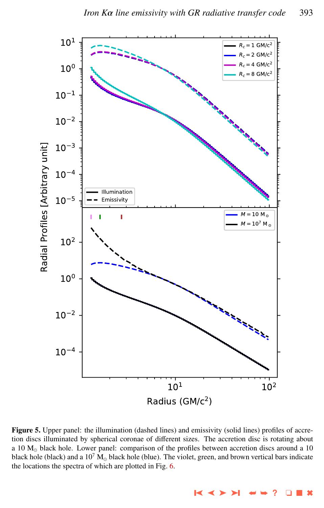<span id="page-10-0"></span>

Figure 5. Upper panel: the illumination (dashed lines) and emissivity (solid lines) profiles of accretion discs illuminated by spherical coronae of different sizes. The accretion disc is rotating about a 10  $M_{\odot}$  black hole. Lower panel: comparison of the profiles between accretion discs around a 10 black hole (black) and a  $10^7$  M<sub>o</sub> black hole (blue). The violet, green, and brown vertical bars indicate the locations the spectra of which are plotted in Fig. [6.](#page-11-0)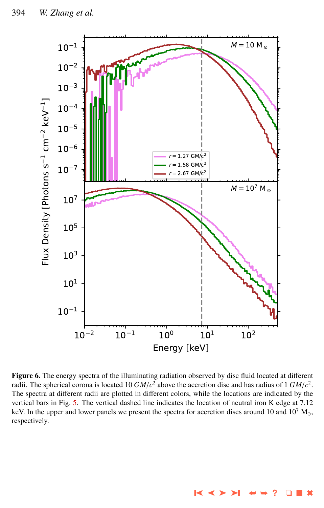<span id="page-11-0"></span>

Figure 6. The energy spectra of the illuminating radiation observed by disc fluid located at different radii. The spherical corona is located 10  $GM/c^2$  above the accretion disc and has radius of 1  $GM/c^2$ .<br>The spectra at different radii are plotted in different colors, while the locations are indicated by the The spectra at different radii are plotted in different colors, while the locations are indicated by the vertical bars in Fig. [5.](#page-10-0) The vertical dashed line indicates the location of neutral iron K edge at 7.12 keV. In the upper and lower panels we present the spectra for accretion discs around 10 and  $10^7$  M<sub>o</sub>, respectively.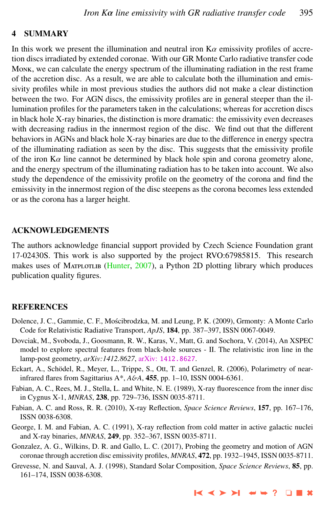#### <span id="page-12-0"></span>4 SUMMARY

In this work we present the illumination and neutral iron  $Ka$  emissivity profiles of accretion discs irradiated by extended coronae. With our GR Monte Carlo radiative transfer code Monk, we can calculate the energy spectrum of the illuminating radiation in the rest frame of the accretion disc. As a result, we are able to calculate both the illumination and emissivity profiles while in most previous studies the authors did not make a clear distinction between the two. For AGN discs, the emissivity profiles are in general steeper than the illumination profiles for the parameters taken in the calculations; whereas for accretion discs in black hole X-ray binaries, the distinction is more dramatic: the emissivity even decreases with decreasing radius in the innermost region of the disc. We find out that the different behaviors in AGNs and black hole X-ray binaries are due to the difference in energy spectra of the illuminating radiation as seen by the disc. This suggests that the emissivity profile of the iron  $K\alpha$  line cannot be determined by black hole spin and corona geometry alone, and the energy spectrum of the illuminating radiation has to be taken into account. We also study the dependence of the emissivity profile on the geometry of the corona and find the emissivity in the innermost region of the disc steepens as the corona becomes less extended or as the corona has a larger height.

#### ACKNOWLEDGEMENTS

The authors acknowledge financial support provided by Czech Science Foundation grant 17-02430S. This work is also supported by the project RVO:67985815. This research makes uses of MATPLOTLIB [\(Hunter,](#page-13-0) [2007\)](#page-13-0), a Python 2D plotting library which produces publication quality figures.

#### REFERENCES

- Dolence, J. C., Gammie, C. F., Mościbrodzka, M. and Leung, P. K. (2009), Grmonty: A Monte Carlo Code for Relativistic Radiative Transport, *ApJS*, 184, pp. 387–397, ISSN 0067-0049.
- Dovciak, M., Svoboda, J., Goosmann, R. W., Karas, V., Matt, G. and Sochora, V. (2014), An XSPEC model to explore spectral features from black-hole sources - II. The relativistic iron line in the lamp-post geometry, *arXiv:1412.8627*, arXiv: [1412.8627](http://www.arxiv.org/abs/1412.8627).
- Eckart, A., Schödel, R., Meyer, L., Trippe, S., Ott, T. and Genzel, R. (2006), Polarimetry of nearinfrared flares from Sagittarius A\*, *A*&*A*, 455, pp. 1–10, ISSN 0004-6361.
- Fabian, A. C., Rees, M. J., Stella, L. and White, N. E. (1989), X-ray fluorescence from the inner disc in Cygnus X-1, *MNRAS*, 238, pp. 729–736, ISSN 0035-8711.
- Fabian, A. C. and Ross, R. R. (2010), X-ray Reflection, *Space Science Reviews*, 157, pp. 167–176, ISSN 0038-6308.
- George, I. M. and Fabian, A. C. (1991), X-ray reflection from cold matter in active galactic nuclei and X-ray binaries, *MNRAS*, 249, pp. 352–367, ISSN 0035-8711.
- Gonzalez, A. G., Wilkins, D. R. and Gallo, L. C. (2017), Probing the geometry and motion of AGN coronae through accretion disc emissivity profiles, *MNRAS*, 472, pp. 1932–1945, ISSN 0035-8711.
- Grevesse, N. and Sauval, A. J. (1998), Standard Solar Composition, *Space Science Reviews*, 85, pp. 161–174, ISSN 0038-6308.